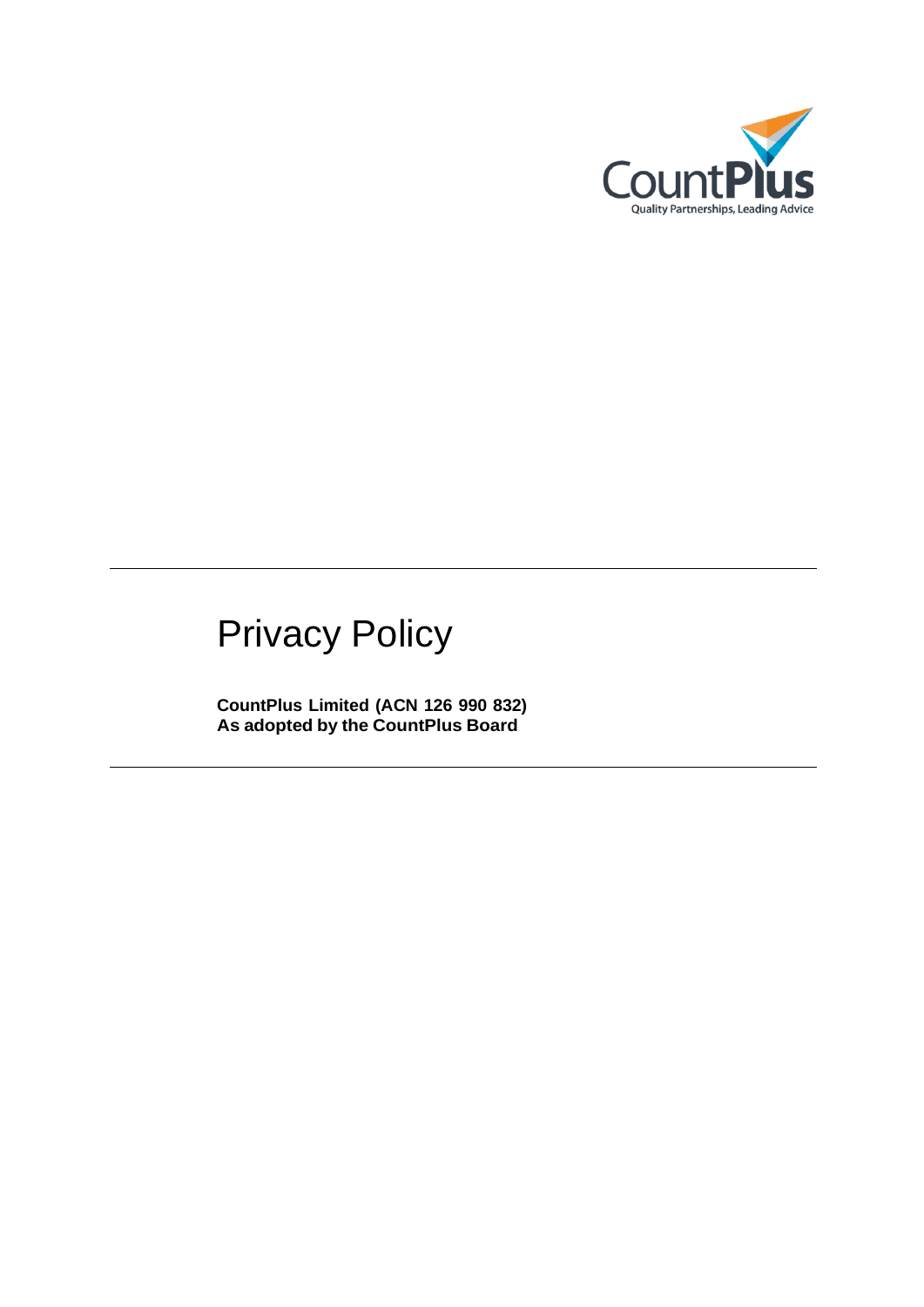

# Privacy Policy

**CountPlus Limited (ACN 126 990 832) As adopted by the CountPlus Board**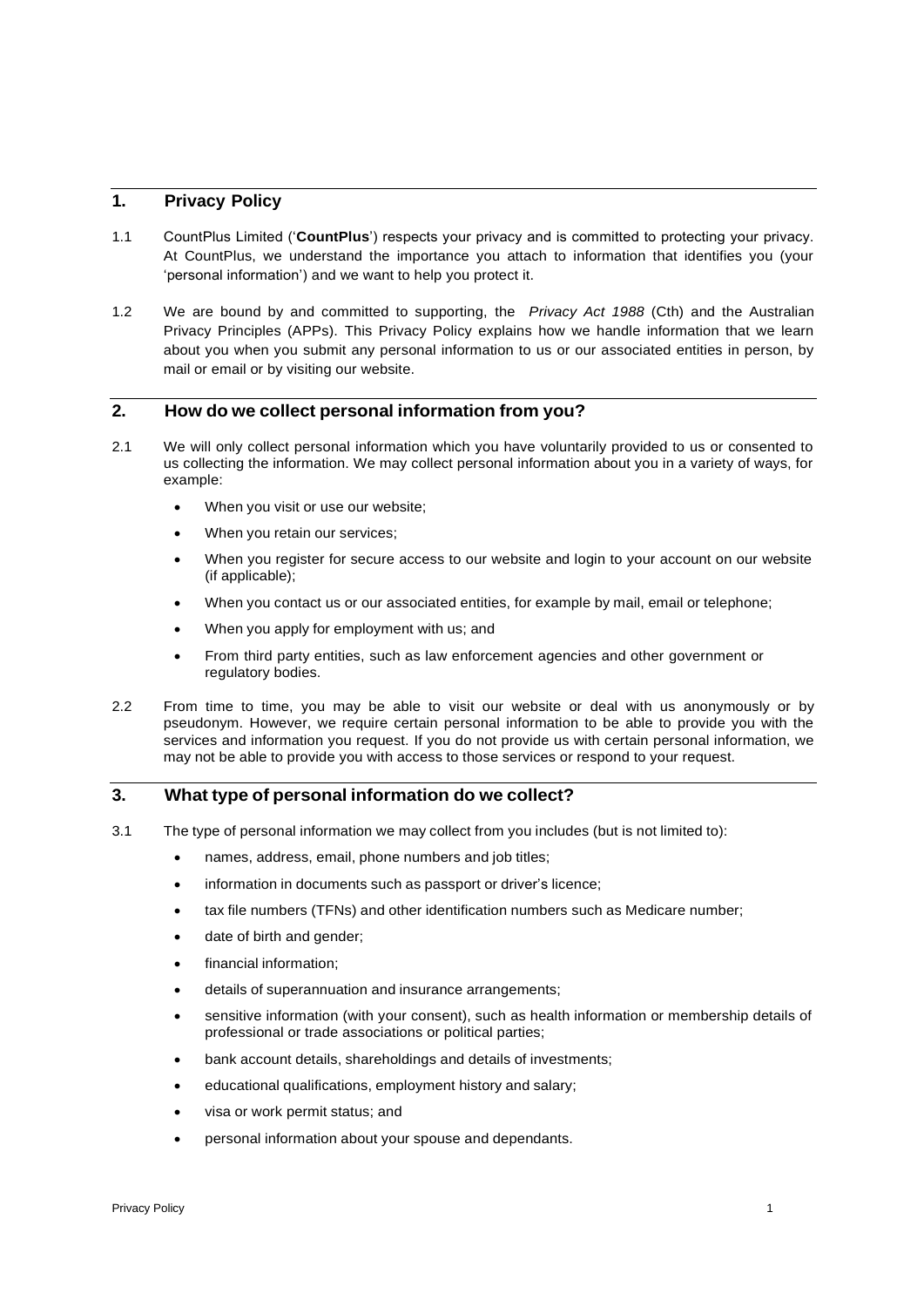# **1. Privacy Policy**

- 1.1 CountPlus Limited ('**CountPlus**') respects your privacy and is committed to protecting your privacy. At CountPlus, we understand the importance you attach to information that identifies you (your 'personal information') and we want to help you protect it.
- 1.2 We are bound by and committed to supporting, the *Privacy Act 1988* (Cth) and the Australian Privacy Principles (APPs). This Privacy Policy explains how we handle information that we learn about you when you submit any personal information to us or our associated entities in person, by mail or email or by visiting our website.

## **2. How do we collect personal information from you?**

- 2.1 We will only collect personal information which you have voluntarily provided to us or consented to us collecting the information. We may collect personal information about you in a variety of ways, for example:
	- When you visit or use our website;
	- When you retain our services:
	- When you register for secure access to our website and login to your account on our website (if applicable);
	- When you contact us or our associated entities, for example by mail, email or telephone;
	- When you apply for employment with us; and
	- From third party entities, such as law enforcement agencies and other government or regulatory bodies.
- 2.2 From time to time, you may be able to visit our website or deal with us anonymously or by pseudonym. However, we require certain personal information to be able to provide you with the services and information you request. If you do not provide us with certain personal information, we may not be able to provide you with access to those services or respond to your request.

#### **3. What type of personal information do we collect?**

- 3.1 The type of personal information we may collect from you includes (but is not limited to):
	- names, address, email, phone numbers and job titles;
	- information in documents such as passport or driver's licence;
	- tax file numbers (TFNs) and other identification numbers such as Medicare number;
	- date of birth and gender;
	- financial information:
	- details of superannuation and insurance arrangements;
	- sensitive information (with your consent), such as health information or membership details of professional or trade associations or political parties;
	- bank account details, shareholdings and details of investments;
	- educational qualifications, employment history and salary;
	- visa or work permit status; and
	- personal information about your spouse and dependants.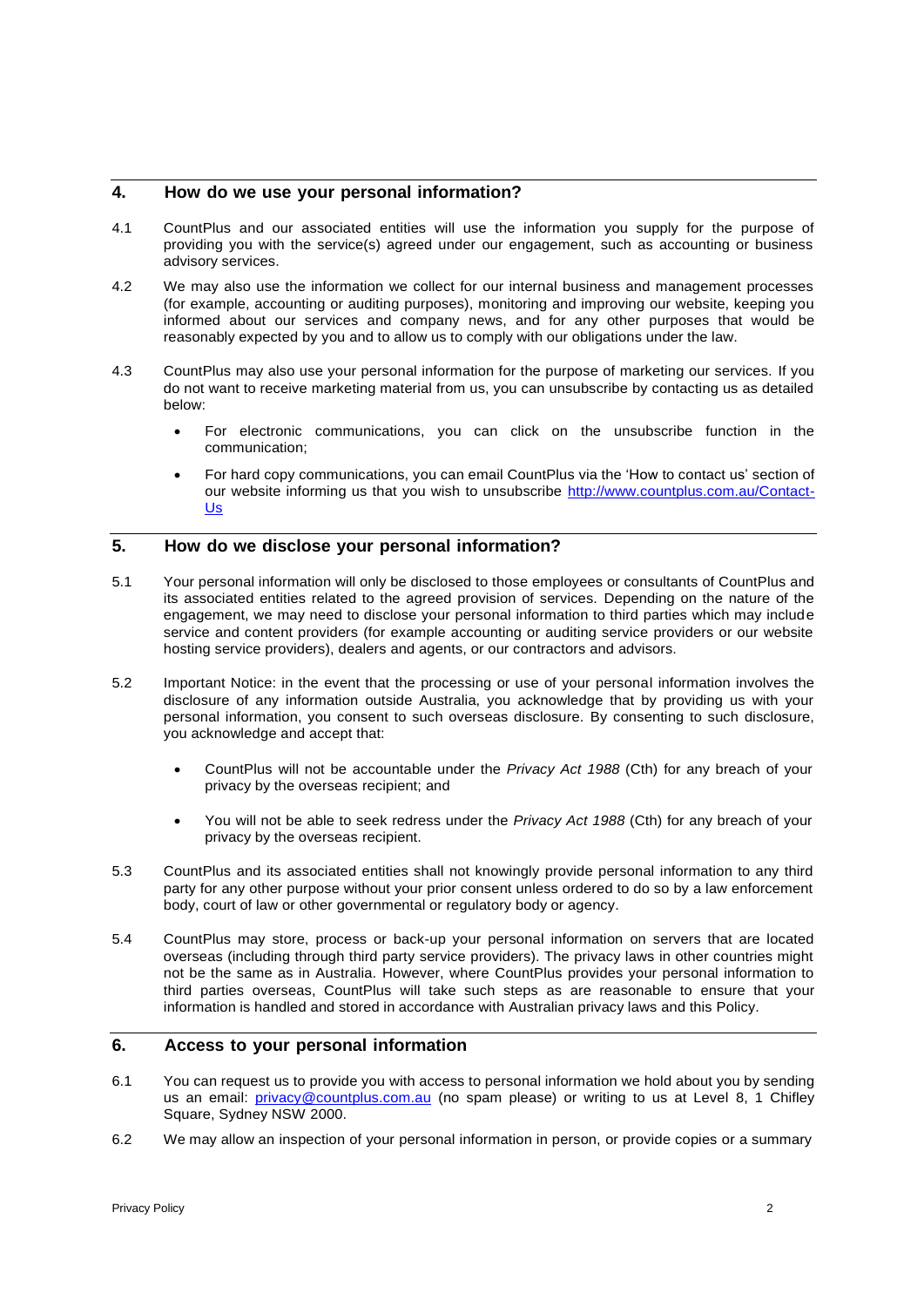# **4. How do we use your personal information?**

- 4.1 CountPlus and our associated entities will use the information you supply for the purpose of providing you with the service(s) agreed under our engagement, such as accounting or business advisory services.
- 4.2 We may also use the information we collect for our internal business and management processes (for example, accounting or auditing purposes), monitoring and improving our website, keeping you informed about our services and company news, and for any other purposes that would be reasonably expected by you and to allow us to comply with our obligations under the law.
- 4.3 CountPlus may also use your personal information for the purpose of marketing our services. If you do not want to receive marketing material from us, you can unsubscribe by contacting us as detailed below:
	- For electronic communications, you can click on the unsubscribe function in the communication;
	- For hard copy communications, you can email CountPlus via the 'How to contact us' section of our website informing us that you wish to unsubscribe [http://www.countplus.com.au/Contact-](http://www.countplus.com.au/Contact-Us)[Us](http://www.countplus.com.au/Contact-Us)

#### **5. How do we disclose your personal information?**

- 5.1 Your personal information will only be disclosed to those employees or consultants of CountPlus and its associated entities related to the agreed provision of services. Depending on the nature of the engagement, we may need to disclose your personal information to third parties which may include service and content providers (for example accounting or auditing service providers or our website hosting service providers), dealers and agents, or our contractors and advisors.
- 5.2 Important Notice: in the event that the processing or use of your personal information involves the disclosure of any information outside Australia, you acknowledge that by providing us with your personal information, you consent to such overseas disclosure. By consenting to such disclosure, you acknowledge and accept that:
	- CountPlus will not be accountable under the *Privacy Act 1988* (Cth) for any breach of your privacy by the overseas recipient; and
	- You will not be able to seek redress under the *Privacy Act 1988* (Cth) for any breach of your privacy by the overseas recipient.
- 5.3 CountPlus and its associated entities shall not knowingly provide personal information to any third party for any other purpose without your prior consent unless ordered to do so by a law enforcement body, court of law or other governmental or regulatory body or agency.
- 5.4 CountPlus may store, process or back-up your personal information on servers that are located overseas (including through third party service providers). The privacy laws in other countries might not be the same as in Australia. However, where CountPlus provides your personal information to third parties overseas, CountPlus will take such steps as are reasonable to ensure that your information is handled and stored in accordance with Australian privacy laws and this Policy.

# **6. Access to your personal information**

- 6.1 You can request us to provide you with access to personal information we hold about you by sending us an email: [privacy@countplus.com.au](mailto:privacy@countplus.com.au) (no spam please) or writing to us at Level 8, 1 Chifley Square, Sydney NSW 2000.
- 6.2 We may allow an inspection of your personal information in person, or provide copies or a summary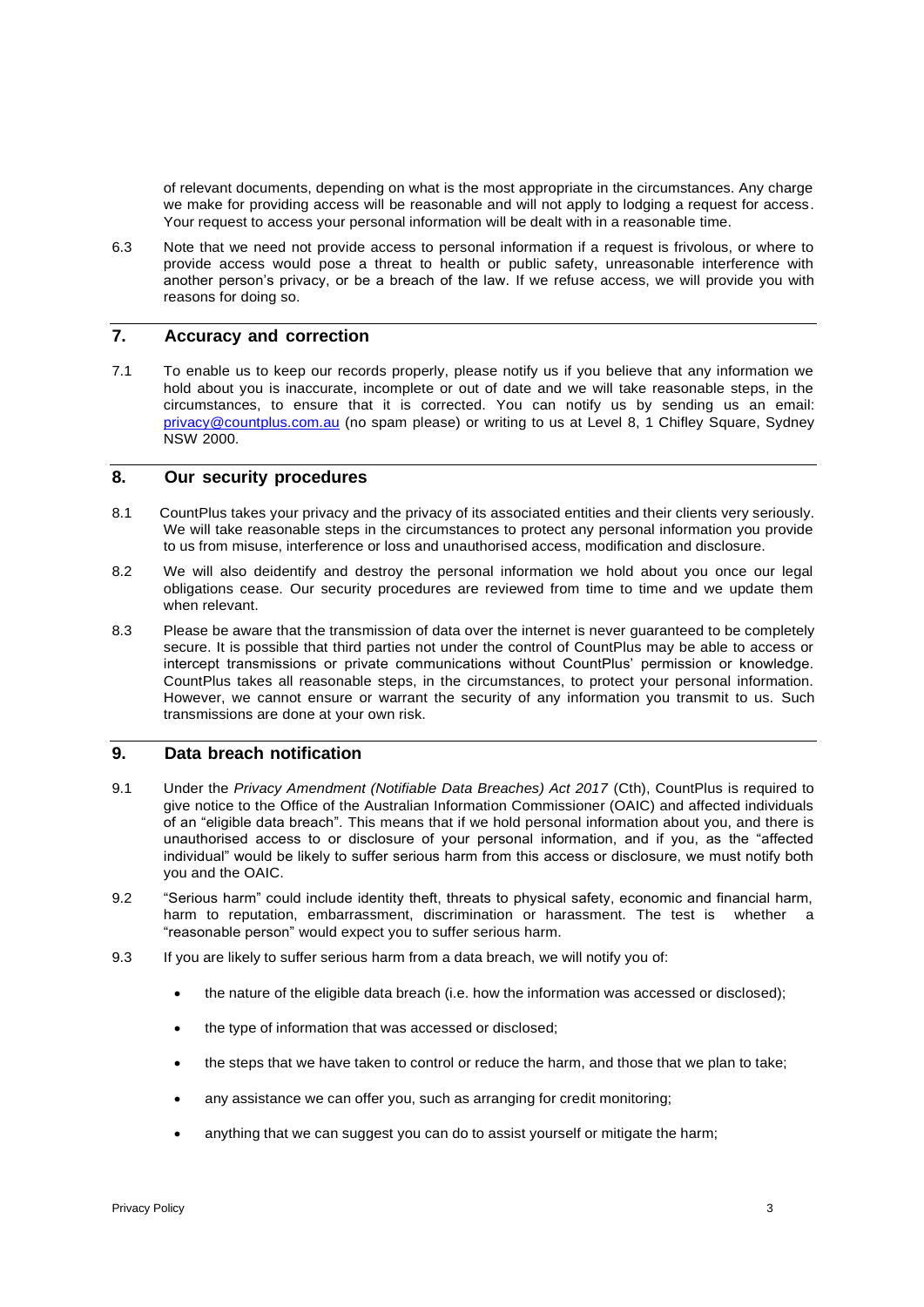of relevant documents, depending on what is the most appropriate in the circumstances. Any charge we make for providing access will be reasonable and will not apply to lodging a request for access. Your request to access your personal information will be dealt with in a reasonable time.

6.3 Note that we need not provide access to personal information if a request is frivolous, or where to provide access would pose a threat to health or public safety, unreasonable interference with another person's privacy, or be a breach of the law. If we refuse access, we will provide you with reasons for doing so.

# **7. Accuracy and correction**

7.1 To enable us to keep our records properly, please notify us if you believe that any information we hold about you is inaccurate, incomplete or out of date and we will take reasonable steps, in the circumstances, to ensure that it is corrected. You can notify us by sending us an email: [privacy@countplus.com.au](mailto:privacy@countplus.com.au) (no spam please) or writing to us at Level 8, 1 Chifley Square, Sydney NSW 2000.

#### **8. Our security procedures**

- 8.1 CountPlus takes your privacy and the privacy of its associated entities and their clients very seriously. We will take reasonable steps in the circumstances to protect any personal information you provide to us from misuse, interference or loss and unauthorised access, modification and disclosure.
- 8.2 We will also deidentify and destroy the personal information we hold about you once our legal obligations cease. Our security procedures are reviewed from time to time and we update them when relevant.
- 8.3 Please be aware that the transmission of data over the internet is never guaranteed to be completely secure. It is possible that third parties not under the control of CountPlus may be able to access or intercept transmissions or private communications without CountPlus' permission or knowledge. CountPlus takes all reasonable steps, in the circumstances, to protect your personal information. However, we cannot ensure or warrant the security of any information you transmit to us. Such transmissions are done at your own risk.

#### **9. Data breach notification**

- 9.1 Under the *Privacy Amendment (Notifiable Data Breaches) Act 2017* (Cth), CountPlus is required to give notice to the Office of the Australian Information Commissioner (OAIC) and affected individuals of an "eligible data breach". This means that if we hold personal information about you, and there is unauthorised access to or disclosure of your personal information, and if you, as the "affected individual" would be likely to suffer serious harm from this access or disclosure, we must notify both you and the OAIC.
- 9.2 "Serious harm" could include identity theft, threats to physical safety, economic and financial harm, harm to reputation, embarrassment, discrimination or harassment. The test is whether a "reasonable person" would expect you to suffer serious harm.
- 9.3 If you are likely to suffer serious harm from a data breach, we will notify you of:
	- the nature of the eligible data breach (i.e. how the information was accessed or disclosed);
	- the type of information that was accessed or disclosed;
	- the steps that we have taken to control or reduce the harm, and those that we plan to take;
	- any assistance we can offer you, such as arranging for credit monitoring;
	- anything that we can suggest you can do to assist yourself or mitigate the harm;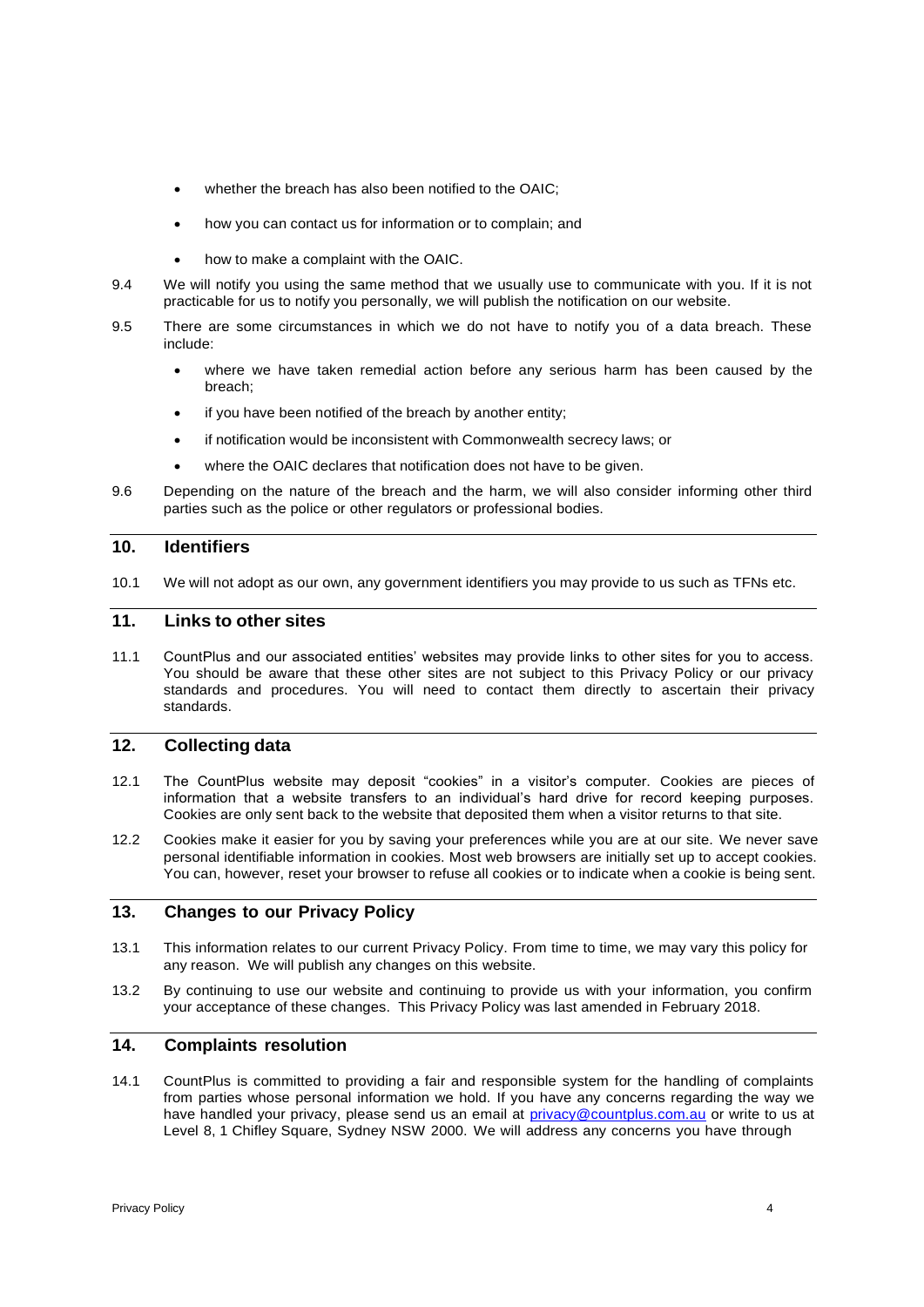- whether the breach has also been notified to the OAIC;
- how you can contact us for information or to complain; and
- how to make a complaint with the OAIC.
- 9.4 We will notify you using the same method that we usually use to communicate with you. If it is not practicable for us to notify you personally, we will publish the notification on our website.
- 9.5 There are some circumstances in which we do not have to notify you of a data breach. These include:
	- where we have taken remedial action before any serious harm has been caused by the breach;
	- if you have been notified of the breach by another entity;
	- if notification would be inconsistent with Commonwealth secrecy laws; or
	- where the OAIC declares that notification does not have to be given.
- 9.6 Depending on the nature of the breach and the harm, we will also consider informing other third parties such as the police or other regulators or professional bodies.

# **10. Identifiers**

10.1 We will not adopt as our own, any government identifiers you may provide to us such as TFNs etc.

#### **11. Links to other sites**

11.1 CountPlus and our associated entities' websites may provide links to other sites for you to access. You should be aware that these other sites are not subject to this Privacy Policy or our privacy standards and procedures. You will need to contact them directly to ascertain their privacy standards.

#### **12. Collecting data**

- 12.1 The CountPlus website may deposit "cookies" in a visitor's computer. Cookies are pieces of information that a website transfers to an individual's hard drive for record keeping purposes. Cookies are only sent back to the website that deposited them when a visitor returns to that site.
- 12.2 Cookies make it easier for you by saving your preferences while you are at our site. We never save personal identifiable information in cookies. Most web browsers are initially set up to accept cookies. You can, however, reset your browser to refuse all cookies or to indicate when a cookie is being sent.

# **13. Changes to our Privacy Policy**

- 13.1 This information relates to our current Privacy Policy. From time to time, we may vary this policy for any reason. We will publish any changes on this website.
- 13.2 By continuing to use our website and continuing to provide us with your information, you confirm your acceptance of these changes. This Privacy Policy was last amended in February 2018.

# **14. Complaints resolution**

14.1 CountPlus is committed to providing a fair and responsible system for the handling of complaints from parties whose personal information we hold. If you have any concerns regarding the way we have handled your privacy, please send us an email at [privacy@countplus.com.au](mailto:privacy@countplus.com.au) or write to us at Level 8, 1 Chifley Square, Sydney NSW 2000. We will address any concerns you have through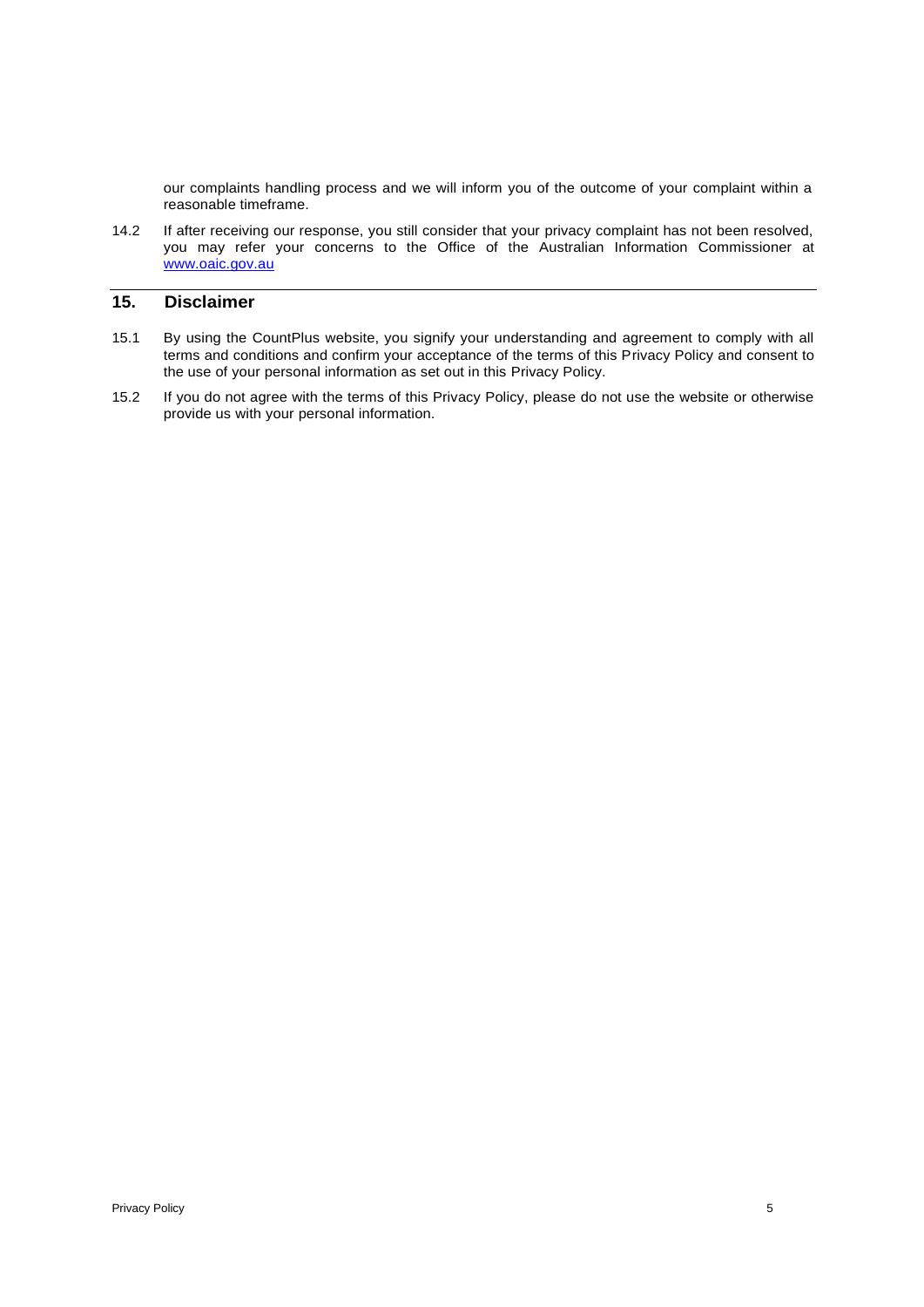our complaints handling process and we will inform you of the outcome of your complaint within a reasonable timeframe.

14.2 If after receiving our response, you still consider that your privacy complaint has not been resolved, you may refer your concerns to the Office of the Australian Information Commissioner at [www.oaic.gov.au](http://www.oaic.gov.au/)

# **15. Disclaimer**

- 15.1 By using the CountPlus website, you signify your understanding and agreement to comply with all terms and conditions and confirm your acceptance of the terms of this Privacy Policy and consent to the use of your personal information as set out in this Privacy Policy.
- 15.2 If you do not agree with the terms of this Privacy Policy, please do not use the website or otherwise provide us with your personal information.